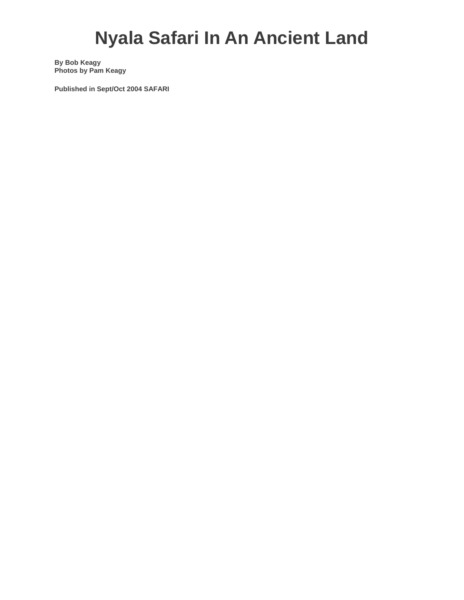## **Nyala Safari In An Ancient Land**

**By Bob Keagy Photos by Pam Keagy** 

**Published in Sept/Oct 2004 SAFARI**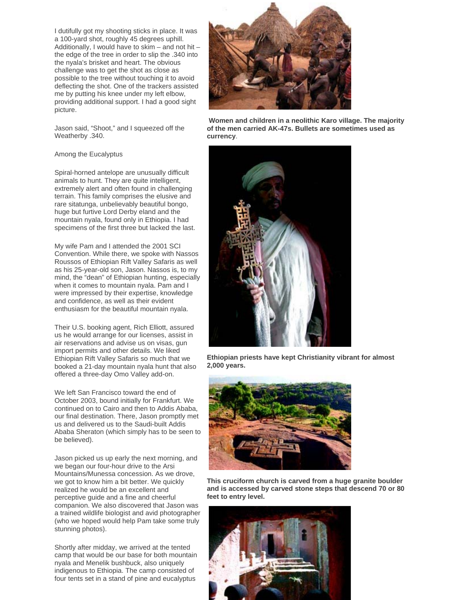I dutifully got my shooting sticks in place. It was a 100-yard shot, roughly 45 degrees uphill. Additionally, I would have to skim – and not hit – the edge of the tree in order to slip the .340 into the nyala's brisket and heart. The obvious challenge was to get the shot as close as possible to the tree without touching it to avoid deflecting the shot. One of the trackers assisted me by putting his knee under my left elbow, providing additional support. I had a good sight picture.

Jason said, "Shoot," and I squeezed off the Weatherby .340.

## Among the Eucalyptus

Spiral-horned antelope are unusually difficult animals to hunt. They are quite intelligent, extremely alert and often found in challenging terrain. This family comprises the elusive and rare sitatunga, unbelievably beautiful bongo, huge but furtive Lord Derby eland and the mountain nyala, found only in Ethiopia. I had specimens of the first three but lacked the last.

My wife Pam and I attended the 2001 SCI Convention. While there, we spoke with Nassos Roussos of Ethiopian Rift Valley Safaris as well as his 25-year-old son, Jason. Nassos is, to my mind, the "dean" of Ethiopian hunting, especially when it comes to mountain nyala. Pam and I were impressed by their expertise, knowledge and confidence, as well as their evident enthusiasm for the beautiful mountain nyala.

Their U.S. booking agent, Rich Elliott, assured us he would arrange for our licenses, assist in air reservations and advise us on visas, gun import permits and other details. We liked Ethiopian Rift Valley Safaris so much that we booked a 21-day mountain nyala hunt that also offered a three-day Omo Valley add-on.

We left San Francisco toward the end of October 2003, bound initially for Frankfurt. We continued on to Cairo and then to Addis Ababa, our final destination. There, Jason promptly met us and delivered us to the Saudi-built Addis Ababa Sheraton (which simply has to be seen to be believed).

Jason picked us up early the next morning, and we began our four-hour drive to the Arsi Mountains/Munessa concession. As we drove, we got to know him a bit better. We quickly realized he would be an excellent and perceptive guide and a fine and cheerful companion. We also discovered that Jason was a trained wildlife biologist and avid photographer (who we hoped would help Pam take some truly stunning photos).

Shortly after midday, we arrived at the tented camp that would be our base for both mountain nyala and Menelik bushbuck, also uniquely indigenous to Ethiopia. The camp consisted of four tents set in a stand of pine and eucalyptus



**Women and children in a neolithic Karo village. The majority of the men carried AK-47s. Bullets are sometimes used as currency**.



**Ethiopian priests have kept Christianity vibrant for almost 2,000 years.**



**This cruciform church is carved from a huge granite boulder and is accessed by carved stone steps that descend 70 or 80 feet to entry level.**

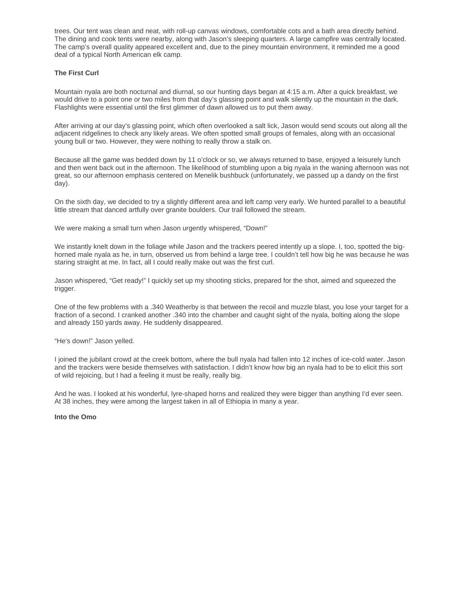trees. Our tent was clean and neat, with roll-up canvas windows, comfortable cots and a bath area directly behind. The dining and cook tents were nearby, along with Jason's sleeping quarters. A large campfire was centrally located. The camp's overall quality appeared excellent and, due to the piney mountain environment, it reminded me a good deal of a typical North American elk camp.

## **The First Curl**

Mountain nyala are both nocturnal and diurnal, so our hunting days began at 4:15 a.m. After a quick breakfast, we would drive to a point one or two miles from that day's glassing point and walk silently up the mountain in the dark. Flashlights were essential until the first glimmer of dawn allowed us to put them away.

After arriving at our day's glassing point, which often overlooked a salt lick, Jason would send scouts out along all the adjacent ridgelines to check any likely areas. We often spotted small groups of females, along with an occasional young bull or two. However, they were nothing to really throw a stalk on.

Because all the game was bedded down by 11 o'clock or so, we always returned to base, enjoyed a leisurely lunch and then went back out in the afternoon. The likelihood of stumbling upon a big nyala in the waning afternoon was not great, so our afternoon emphasis centered on Menelik bushbuck (unfortunately, we passed up a dandy on the first day).

On the sixth day, we decided to try a slightly different area and left camp very early. We hunted parallel to a beautiful little stream that danced artfully over granite boulders. Our trail followed the stream.

We were making a small turn when Jason urgently whispered, "Down!"

We instantly knelt down in the foliage while Jason and the trackers peered intently up a slope. I, too, spotted the bighorned male nyala as he, in turn, observed us from behind a large tree. I couldn't tell how big he was because he was staring straight at me. In fact, all I could really make out was the first curl.

Jason whispered, "Get ready!" I quickly set up my shooting sticks, prepared for the shot, aimed and squeezed the trigger.

One of the few problems with a .340 Weatherby is that between the recoil and muzzle blast, you lose your target for a fraction of a second. I cranked another .340 into the chamber and caught sight of the nyala, bolting along the slope and already 150 yards away. He suddenly disappeared.

"He's down!" Jason yelled.

I joined the jubilant crowd at the creek bottom, where the bull nyala had fallen into 12 inches of ice-cold water. Jason and the trackers were beside themselves with satisfaction. I didn't know how big an nyala had to be to elicit this sort of wild rejoicing, but I had a feeling it must be really, really big.

And he was. I looked at his wonderful, lyre-shaped horns and realized they were bigger than anything I'd ever seen. At 38 inches, they were among the largest taken in all of Ethiopia in many a year.

**Into the Omo**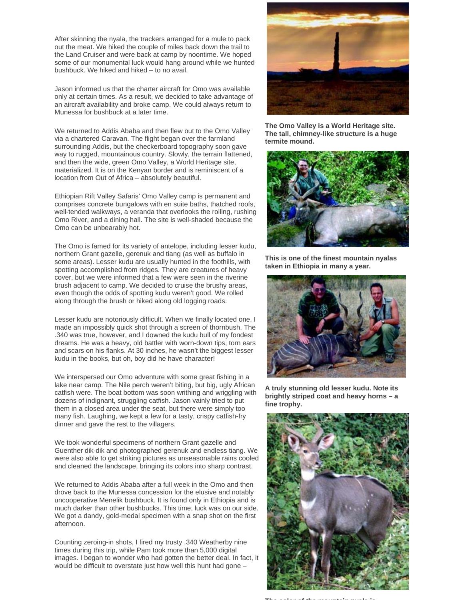After skinning the nyala, the trackers arranged for a mule to pack out the meat. We hiked the couple of miles back down the trail to the Land Cruiser and were back at camp by noontime. We hoped some of our monumental luck would hang around while we hunted bushbuck. We hiked and hiked – to no avail.

Jason informed us that the charter aircraft for Omo was available only at certain times. As a result, we decided to take advantage of an aircraft availability and broke camp. We could always return to Munessa for bushbuck at a later time.

We returned to Addis Ababa and then flew out to the Omo Valley via a chartered Caravan. The flight began over the farmland surrounding Addis, but the checkerboard topography soon gave way to rugged, mountainous country. Slowly, the terrain flattened, and then the wide, green Omo Valley, a World Heritage site, materialized. It is on the Kenyan border and is reminiscent of a location from Out of Africa – absolutely beautiful.

Ethiopian Rift Valley Safaris' Omo Valley camp is permanent and comprises concrete bungalows with en suite baths, thatched roofs, well-tended walkways, a veranda that overlooks the roiling, rushing Omo River, and a dining hall. The site is well-shaded because the Omo can be unbearably hot.

The Omo is famed for its variety of antelope, including lesser kudu, northern Grant gazelle, gerenuk and tiang (as well as buffalo in some areas). Lesser kudu are usually hunted in the foothills, with spotting accomplished from ridges. They are creatures of heavy cover, but we were informed that a few were seen in the riverine brush adjacent to camp. We decided to cruise the brushy areas, even though the odds of spotting kudu weren't good. We rolled along through the brush or hiked along old logging roads.

Lesser kudu are notoriously difficult. When we finally located one, I made an impossibly quick shot through a screen of thornbush. The .340 was true, however, and I downed the kudu bull of my fondest dreams. He was a heavy, old battler with worn-down tips, torn ears and scars on his flanks. At 30 inches, he wasn't the biggest lesser kudu in the books, but oh, boy did he have character!

We interspersed our Omo adventure with some great fishing in a lake near camp. The Nile perch weren't biting, but big, ugly African catfish were. The boat bottom was soon writhing and wriggling with dozens of indignant, struggling catfish. Jason vainly tried to put them in a closed area under the seat, but there were simply too many fish. Laughing, we kept a few for a tasty, crispy catfish-fry dinner and gave the rest to the villagers.

We took wonderful specimens of northern Grant gazelle and Guenther dik-dik and photographed gerenuk and endless tiang. We were also able to get striking pictures as unseasonable rains cooled and cleaned the landscape, bringing its colors into sharp contrast.

We returned to Addis Ababa after a full week in the Omo and then drove back to the Munessa concession for the elusive and notably uncooperative Menelik bushbuck. It is found only in Ethiopia and is much darker than other bushbucks. This time, luck was on our side. We got a dandy, gold-medal specimen with a snap shot on the first afternoon.

Counting zeroing-in shots, I fired my trusty .340 Weatherby nine times during this trip, while Pam took more than 5,000 digital images. I began to wonder who had gotten the better deal. In fact, it would be difficult to overstate just how well this hunt had gone –



**The Omo Valley is a World Heritage site. The tall, chimney-like structure is a huge termite mound.**



**This is one of the finest mountain nyalas taken in Ethiopia in many a year.**



**A truly stunning old lesser kudu. Note its brightly striped coat and heavy horns – a fine trophy.**



**The color of the mountain nyala is**